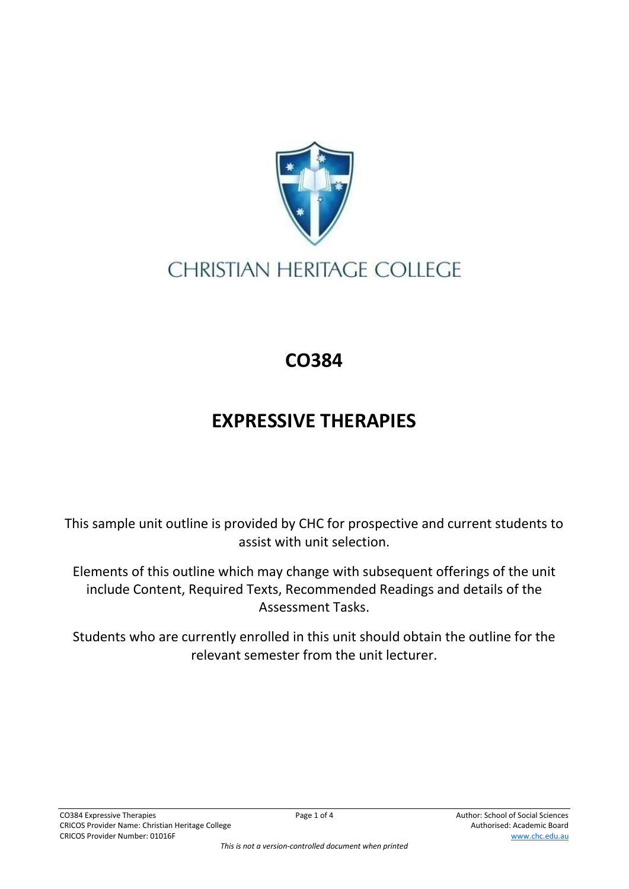

## **CHRISTIAN HERITAGE COLLEGE**

## **CO384**

## **EXPRESSIVE THERAPIES**

This sample unit outline is provided by CHC for prospective and current students to assist with unit selection.

Elements of this outline which may change with subsequent offerings of the unit include Content, Required Texts, Recommended Readings and details of the Assessment Tasks.

Students who are currently enrolled in this unit should obtain the outline for the relevant semester from the unit lecturer.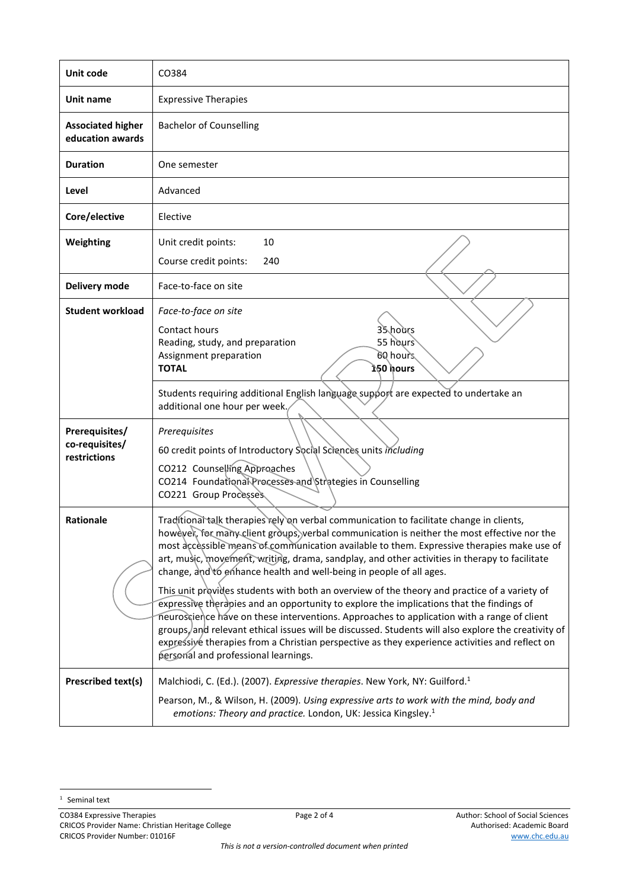| Unit code                                        | CO384                                                                                                                                                                                                                                                                                                                                                                                                                                                                                                                                                                                                                                                                                                                                                                                                                                                                                                                                                                                                    |  |  |  |
|--------------------------------------------------|----------------------------------------------------------------------------------------------------------------------------------------------------------------------------------------------------------------------------------------------------------------------------------------------------------------------------------------------------------------------------------------------------------------------------------------------------------------------------------------------------------------------------------------------------------------------------------------------------------------------------------------------------------------------------------------------------------------------------------------------------------------------------------------------------------------------------------------------------------------------------------------------------------------------------------------------------------------------------------------------------------|--|--|--|
| Unit name                                        | <b>Expressive Therapies</b>                                                                                                                                                                                                                                                                                                                                                                                                                                                                                                                                                                                                                                                                                                                                                                                                                                                                                                                                                                              |  |  |  |
| <b>Associated higher</b><br>education awards     | <b>Bachelor of Counselling</b>                                                                                                                                                                                                                                                                                                                                                                                                                                                                                                                                                                                                                                                                                                                                                                                                                                                                                                                                                                           |  |  |  |
| <b>Duration</b>                                  | One semester                                                                                                                                                                                                                                                                                                                                                                                                                                                                                                                                                                                                                                                                                                                                                                                                                                                                                                                                                                                             |  |  |  |
| Level                                            | Advanced                                                                                                                                                                                                                                                                                                                                                                                                                                                                                                                                                                                                                                                                                                                                                                                                                                                                                                                                                                                                 |  |  |  |
| Core/elective                                    | Elective                                                                                                                                                                                                                                                                                                                                                                                                                                                                                                                                                                                                                                                                                                                                                                                                                                                                                                                                                                                                 |  |  |  |
| Weighting                                        | Unit credit points:<br>10<br>Course credit points:<br>240                                                                                                                                                                                                                                                                                                                                                                                                                                                                                                                                                                                                                                                                                                                                                                                                                                                                                                                                                |  |  |  |
| Delivery mode                                    | Face-to-face on site                                                                                                                                                                                                                                                                                                                                                                                                                                                                                                                                                                                                                                                                                                                                                                                                                                                                                                                                                                                     |  |  |  |
| <b>Student workload</b>                          | Face-to-face on site<br>Contact hours<br>35 hours<br>55 hours<br>Reading, study, and preparation<br>60 hours<br>Assignment preparation<br><b>TOTAL</b><br>້າ50 hours                                                                                                                                                                                                                                                                                                                                                                                                                                                                                                                                                                                                                                                                                                                                                                                                                                     |  |  |  |
|                                                  | Students requiring additional English language support are expected to undertake an<br>additional one hour per week.                                                                                                                                                                                                                                                                                                                                                                                                                                                                                                                                                                                                                                                                                                                                                                                                                                                                                     |  |  |  |
| Prerequisites/<br>co-requisites/<br>restrictions | Prerequisites<br>60 credit points of Introductory Social Sciences units including<br>CO212 Counselling Approaches<br>CO214 Foundational Processes and Strategies in Counselling<br>CO221 Group Processes                                                                                                                                                                                                                                                                                                                                                                                                                                                                                                                                                                                                                                                                                                                                                                                                 |  |  |  |
| <b>Rationale</b>                                 | Traditional talk therapies rely on verbal communication to facilitate change in clients,<br>howevek, for many client groups, verbal communication is neither the most effective nor the<br>most accessible means of communication available to them. Expressive therapies make use of<br>art, music, movement, writing, drama, sandplay, and other activities in therapy to facilitate<br>change, and to enhance health and well-being in people of all ages.<br>This unit provides students with both an overview of the theory and practice of a variety of<br>expressive therapies and an opportunity to explore the implications that the findings of<br>neuroscience have on these interventions. Approaches to application with a range of client<br>groups, and relevant ethical issues will be discussed. Students will also explore the creativity of<br>expressive therapies from a Christian perspective as they experience activities and reflect on<br>personal and professional learnings. |  |  |  |
| Prescribed text(s)                               | Malchiodi, C. (Ed.). (2007). Expressive therapies. New York, NY: Guilford. <sup>1</sup><br>Pearson, M., & Wilson, H. (2009). Using expressive arts to work with the mind, body and<br>emotions: Theory and practice. London, UK: Jessica Kingsley. <sup>1</sup>                                                                                                                                                                                                                                                                                                                                                                                                                                                                                                                                                                                                                                                                                                                                          |  |  |  |

 $1$  Seminal text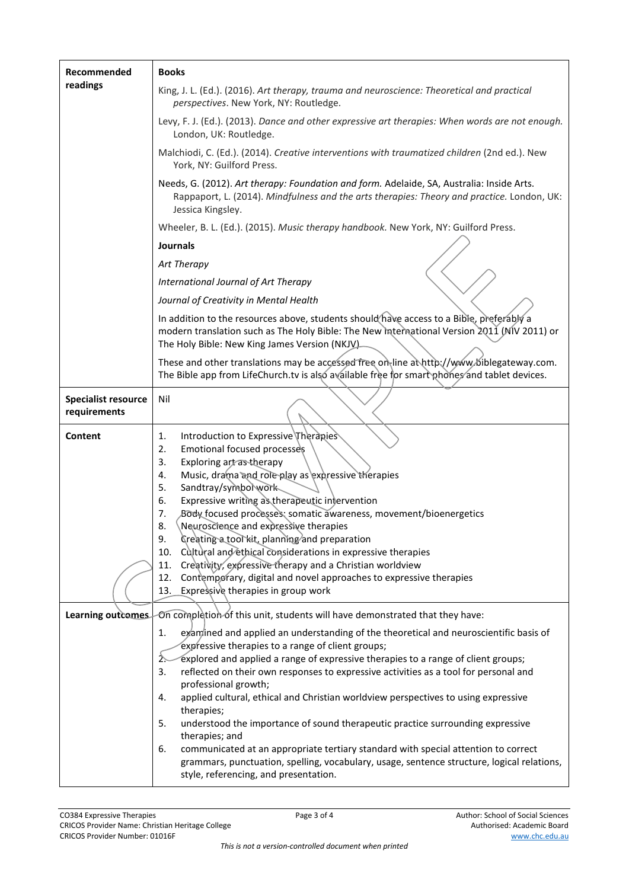| Recommended                                | <b>Books</b>                                                                                                                                                                                                                                                                                                                                                                                                                                                                                                                                                                                                                                                                                                           |  |  |  |
|--------------------------------------------|------------------------------------------------------------------------------------------------------------------------------------------------------------------------------------------------------------------------------------------------------------------------------------------------------------------------------------------------------------------------------------------------------------------------------------------------------------------------------------------------------------------------------------------------------------------------------------------------------------------------------------------------------------------------------------------------------------------------|--|--|--|
| readings                                   | King, J. L. (Ed.). (2016). Art therapy, trauma and neuroscience: Theoretical and practical<br>perspectives. New York, NY: Routledge.                                                                                                                                                                                                                                                                                                                                                                                                                                                                                                                                                                                   |  |  |  |
|                                            | Levy, F. J. (Ed.). (2013). Dance and other expressive art therapies: When words are not enough.<br>London, UK: Routledge.                                                                                                                                                                                                                                                                                                                                                                                                                                                                                                                                                                                              |  |  |  |
|                                            | Malchiodi, C. (Ed.). (2014). Creative interventions with traumatized children (2nd ed.). New<br>York, NY: Guilford Press.                                                                                                                                                                                                                                                                                                                                                                                                                                                                                                                                                                                              |  |  |  |
|                                            | Needs, G. (2012). Art therapy: Foundation and form. Adelaide, SA, Australia: Inside Arts.<br>Rappaport, L. (2014). Mindfulness and the arts therapies: Theory and practice. London, UK:<br>Jessica Kingsley.                                                                                                                                                                                                                                                                                                                                                                                                                                                                                                           |  |  |  |
|                                            | Wheeler, B. L. (Ed.). (2015). Music therapy handbook. New York, NY: Guilford Press.                                                                                                                                                                                                                                                                                                                                                                                                                                                                                                                                                                                                                                    |  |  |  |
|                                            | <b>Journals</b>                                                                                                                                                                                                                                                                                                                                                                                                                                                                                                                                                                                                                                                                                                        |  |  |  |
|                                            | Art Therapy                                                                                                                                                                                                                                                                                                                                                                                                                                                                                                                                                                                                                                                                                                            |  |  |  |
|                                            | International Journal of Art Therapy                                                                                                                                                                                                                                                                                                                                                                                                                                                                                                                                                                                                                                                                                   |  |  |  |
|                                            | Journal of Creativity in Mental Health                                                                                                                                                                                                                                                                                                                                                                                                                                                                                                                                                                                                                                                                                 |  |  |  |
|                                            | In addition to the resources above, students should have access to a Bible, preferably a<br>modern translation such as The Holy Bible: The New International Version 2011 (MIV 2011) or<br>The Holy Bible: New King James Version (NKJV).                                                                                                                                                                                                                                                                                                                                                                                                                                                                              |  |  |  |
|                                            | These and other translations may be accessed free on line at http://www.biblegateway.com.<br>The Bible app from LifeChurch.tv is also available free for smart phones and tablet devices.                                                                                                                                                                                                                                                                                                                                                                                                                                                                                                                              |  |  |  |
| <b>Specialist resource</b><br>requirements | Nil                                                                                                                                                                                                                                                                                                                                                                                                                                                                                                                                                                                                                                                                                                                    |  |  |  |
| Content                                    | Introduction to Expressive Therapies<br>1.<br>Emotional focused processes<br>2.<br>Exploring art as therapy<br>3.<br>Music, drama and role play as expressive therapies<br>4.<br>Sandtray/symbolwork<br>5.<br>Expressive writing as therapeutic intervention<br>6.<br>Body focused processes: somatic awareness, movement/bioenergetics<br>7.<br>Neuroscience and expressive therapies<br>8.<br>Creating a tool kit, planning and preparation<br>9.<br>Cultural and ethical considerations in expressive therapies<br>10.<br>Creativity, expressive therapy and a Christian worldview<br>11.<br>Contemporary, digital and novel approaches to expressive therapies<br>12.<br>13.<br>Expressive therapies in group work |  |  |  |
| Learning outcomes                          | On completion of this unit, students will have demonstrated that they have:                                                                                                                                                                                                                                                                                                                                                                                                                                                                                                                                                                                                                                            |  |  |  |
|                                            | examined and applied an understanding of the theoretical and neuroscientific basis of<br>1.                                                                                                                                                                                                                                                                                                                                                                                                                                                                                                                                                                                                                            |  |  |  |
|                                            | expressive therapies to a range of client groups;<br>explored and applied a range of expressive therapies to a range of client groups;<br>2.                                                                                                                                                                                                                                                                                                                                                                                                                                                                                                                                                                           |  |  |  |
|                                            | reflected on their own responses to expressive activities as a tool for personal and<br>3.                                                                                                                                                                                                                                                                                                                                                                                                                                                                                                                                                                                                                             |  |  |  |
|                                            | professional growth;                                                                                                                                                                                                                                                                                                                                                                                                                                                                                                                                                                                                                                                                                                   |  |  |  |
|                                            | applied cultural, ethical and Christian worldview perspectives to using expressive<br>4.<br>therapies;                                                                                                                                                                                                                                                                                                                                                                                                                                                                                                                                                                                                                 |  |  |  |
|                                            | 5.<br>understood the importance of sound therapeutic practice surrounding expressive<br>therapies; and                                                                                                                                                                                                                                                                                                                                                                                                                                                                                                                                                                                                                 |  |  |  |
|                                            | communicated at an appropriate tertiary standard with special attention to correct<br>6.<br>grammars, punctuation, spelling, vocabulary, usage, sentence structure, logical relations,<br>style, referencing, and presentation.                                                                                                                                                                                                                                                                                                                                                                                                                                                                                        |  |  |  |